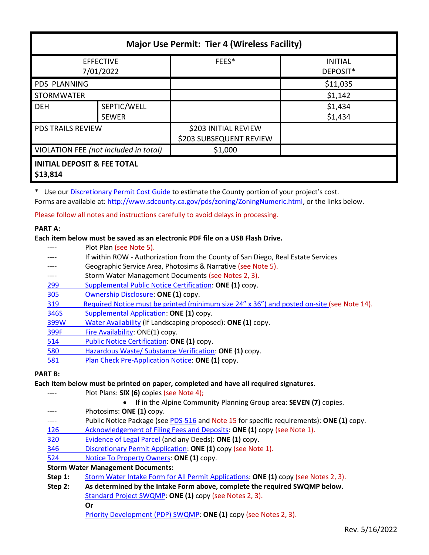| <b>Major Use Permit: Tier 4 (Wireless Facility)</b> |              |                         |                            |  |  |  |
|-----------------------------------------------------|--------------|-------------------------|----------------------------|--|--|--|
| <b>EFFECTIVE</b><br>7/01/2022                       |              | FEES*                   | <b>INITIAL</b><br>DEPOSIT* |  |  |  |
| <b>PDS PLANNING</b>                                 |              |                         | \$11,035                   |  |  |  |
| <b>STORMWATER</b>                                   |              |                         | \$1,142                    |  |  |  |
| <b>DEH</b>                                          | SEPTIC/WELL  |                         | \$1,434                    |  |  |  |
|                                                     | <b>SEWER</b> |                         | \$1,434                    |  |  |  |
| <b>PDS TRAILS REVIEW</b>                            |              | \$203 INITIAL REVIEW    |                            |  |  |  |
|                                                     |              | \$203 SUBSEQUENT REVIEW |                            |  |  |  |
| VIOLATION FEE (not included in total)               |              | \$1,000                 |                            |  |  |  |
| <b>INITIAL DEPOSIT &amp; FEE TOTAL</b><br>642.044   |              |                         |                            |  |  |  |

**\$13,814**

\* Use our [Discretionary Permit Cost Guide](http://www.sandiegocounty.gov/content/dam/sdc/pds/docs/Discretionary_Permit_Cost_Guide.xlsx) to estimate the County portion of your project's cost. Forms are available at: [http://www.sdcounty.ca.gov/pds/zoning/ZoningNumeric.html,](http://www.sdcounty.ca.gov/pds/zoning/ZoningNumeric.html) or the links below.

Please follow all notes and instructions carefully to avoid delays in processing.

# **PART A:**

#### **Each item below must be saved as an electronic PDF file on a USB Flash Drive.**

|       | Plot Plan (see Note 5).                                                                    |
|-------|--------------------------------------------------------------------------------------------|
|       | If within ROW - Authorization from the County of San Diego, Real Estate Services           |
|       | Geographic Service Area, Photosims & Narrative (see Note 5).                               |
|       | Storm Water Management Documents (see Notes 2, 3).                                         |
| 299   | Supplemental Public Notice Certification: ONE (1) copy.                                    |
| 305   | Ownership Disclosure: ONE (1) copy.                                                        |
| 319   | Required Notice must be printed (minimum size 24" x 36") and posted on-site (see Note 14). |
| 346S  | Supplemental Application: ONE (1) copy.                                                    |
| 399W  | Water Availability (If Landscaping proposed): ONE (1) copy.                                |
| 399F  | Fire Availability: ONE(1) copy.                                                            |
| 514   | Public Notice Certification: ONE (1) copy.                                                 |
| 580   | Hazardous Waste/ Substance Verification: ONE (1) copy.                                     |
| 581   | Plan Check Pre-Application Notice: ONE (1) copy.                                           |
| RT R• |                                                                                            |

# **PART B:**

#### **Each item below must be printed on paper, completed and have all required signatures.**

---- Plot Plans: **SIX (6)** copies (see Note 4);

|  |  | • If in the Alpine Community Planning Group area: SEVEN (7) copies. |  |  |
|--|--|---------------------------------------------------------------------|--|--|
|--|--|---------------------------------------------------------------------|--|--|

- ---- Photosims: **ONE (1)** copy.
- ---- Public Notice Package (se[e PDS-516](http://www.sdcounty.ca.gov/pds/zoning/formfields/PDS-PLN-516.pdf) and Note 15 for specific requirements): **ONE (1)** copy.
- [126 Acknowledgement of Filing Fees and Deposits:](http://www.sdcounty.ca.gov/pds/zoning/formfields/PDS-PLN-126.pdf) **ONE (1)** copy (see Note 1).
- [320 Evidence of Legal Parcel](http://www.sdcounty.ca.gov/pds/zoning/formfields/PDS-PLN-320.pdf) (and any Deeds): **ONE (1)** copy.
- 346 [Discretionary Permit Application:](http://www.sdcounty.ca.gov/pds/zoning/formfields/PDS-PLN-346.pdf) **ONE (1)** copy (see Note 1).
- 524 Notice [To Property Owners:](http://www.sdcounty.ca.gov/pds/zoning/formfields/PDS-PLN-524.pdf) **ONE (1)** copy.

# **Storm Water Management Documents:**

- **Step 1:** [Storm Water Intake Form for All Permit Applications:](http://www.sandiegocounty.gov/content/dam/sdc/pds/zoning/formfields/SWQMP-Intake-Form.pdf) **ONE (1)** copy (see Notes 2, 3).
- **Step 2: As determined by the Intake Form above, complete the required SWQMP below.** [Standard Project SWQMP:](http://www.sandiegocounty.gov/content/dam/sdc/pds/zoning/formfields/SWQMP-Standard.pdf) **ONE (1)** copy (see Notes 2, 3). **Or**

[Priority Development \(PDP\) SWQMP:](https://www.sandiegocounty.gov/content/sdc/dpw/watersheds/DevelopmentandConstruction/BMP_Design_Manual.html) **ONE (1)** copy (see Notes 2, 3).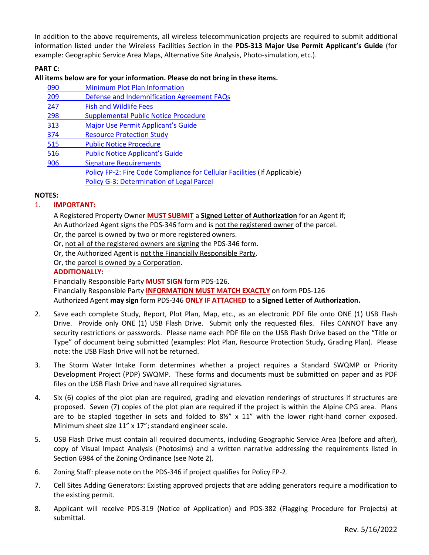In addition to the above requirements, all wireless telecommunication projects are required to submit additional information listed under the Wireless Facilities Section in the **PDS-313 Major Use Permit Applicant's Guide** (for example: Geographic Service Area Maps, Alternative Site Analysis, Photo-simulation, etc.).

# **PART C:**

### **All items below are for your information. Please do not bring in these items.**

| 090        | <b>Minimum Plot Plan Information</b>                                      |
|------------|---------------------------------------------------------------------------|
| 209        | Defense and Indemnification Agreement FAQs                                |
| 247        | <b>Fish and Wildlife Fees</b>                                             |
| 298        | <b>Supplemental Public Notice Procedure</b>                               |
| <u>313</u> | Major Use Permit Applicant's Guide                                        |
| 374        | <b>Resource Protection Study</b>                                          |
| 515        | <b>Public Notice Procedure</b>                                            |
| 516        | <b>Public Notice Applicant's Guide</b>                                    |
| 906        | <b>Signature Requirements</b>                                             |
|            | Policy FP-2: Fire Code Compliance for Cellular Facilities (If Applicable) |
|            | Policy G-3: Determination of Legal Parcel                                 |

### **NOTES:**

### 1. **IMPORTANT:**

A Registered Property Owner **MUST SUBMIT** a **Signed Letter of Authorization** for an Agent if; An Authorized Agent signs the PDS-346 form and is not the registered owner of the parcel.

Or, the parcel is owned by two or more registered owners.

Or, not all of the registered owners are signing the PDS-346 form.

Or, the Authorized Agent is not the Financially Responsible Party.

Or, the parcel is owned by a Corporation.

# **ADDITIONALLY:**

Financially Responsible Party **MUST SIGN** form PDS-126.

Financially Responsible Party **INFORMATION MUST MATCH EXACTLY** on form PDS-126 Authorized Agent **may sign** form PDS-346 **ONLY IF ATTACHED** to a **Signed Letter of Authorization.**

- 2. Save each complete Study, Report, Plot Plan, Map, etc., as an electronic PDF file onto ONE (1) USB Flash Drive. Provide only ONE (1) USB Flash Drive. Submit only the requested files. Files CANNOT have any security restrictions or passwords. Please name each PDF file on the USB Flash Drive based on the "Title or Type" of document being submitted (examples: Plot Plan, Resource Protection Study, Grading Plan). Please note: the USB Flash Drive will not be returned.
- 3. The Storm Water Intake Form determines whether a project requires a Standard SWQMP or Priority Development Project (PDP) SWQMP. These forms and documents must be submitted on paper and as PDF files on the USB Flash Drive and have all required signatures.
- 4. Six (6) copies of the plot plan are required, grading and elevation renderings of structures if structures are proposed. Seven (7) copies of the plot plan are required if the project is within the Alpine CPG area. Plans are to be stapled together in sets and folded to 8½" x 11" with the lower right-hand corner exposed. Minimum sheet size 11" x 17"; standard engineer scale.
- 5. USB Flash Drive must contain all required documents, including Geographic Service Area (before and after), copy of Visual Impact Analysis (Photosims) and a written narrative addressing the requirements listed in Section 6984 of the Zoning Ordinance (see Note 2).
- 6. Zoning Staff: please note on the PDS-346 if project qualifies for Policy FP-2.
- 7. Cell Sites Adding Generators: Existing approved projects that are adding generators require a modification to the existing permit.
- 8. Applicant will receive PDS-319 (Notice of Application) and PDS-382 (Flagging Procedure for Projects) at submittal.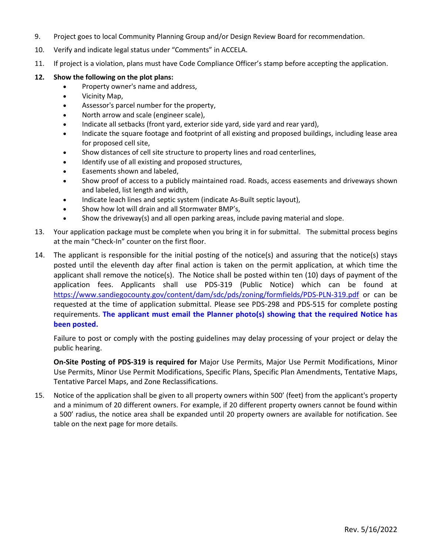- 9. Project goes to local Community Planning Group and/or Design Review Board for recommendation.
- 10. Verify and indicate legal status under "Comments" in ACCELA.
- 11. If project is a violation, plans must have Code Compliance Officer's stamp before accepting the application.
- **12. Show the following on the plot plans:** 
	- Property owner's name and address,
	- Vicinity Map,
	- Assessor's parcel number for the property,
	- North arrow and scale (engineer scale),
	- Indicate all setbacks (front yard, exterior side yard, side yard and rear yard),
	- Indicate the square footage and footprint of all existing and proposed buildings, including lease area for proposed cell site,
	- Show distances of cell site structure to property lines and road centerlines,
	- Identify use of all existing and proposed structures,
	- Easements shown and labeled,
	- Show proof of access to a publicly maintained road. Roads, access easements and driveways shown and labeled, list length and width,
	- Indicate leach lines and septic system (indicate As-Built septic layout),
	- Show how lot will drain and all Stormwater BMP's,
	- Show the driveway(s) and all open parking areas, include paving material and slope.
- 13. Your application package must be complete when you bring it in for submittal. The submittal process begins at the main "Check-In" counter on the first floor.
- 14. The applicant is responsible for the initial posting of the notice(s) and assuring that the notice(s) stays posted until the eleventh day after final action is taken on the permit application, at which time the applicant shall remove the notice(s). The Notice shall be posted within ten (10) days of payment of the application fees. Applicants shall use PDS-319 (Public Notice) which can be found at <https://www.sandiegocounty.gov/content/dam/sdc/pds/zoning/formfields/PDS-PLN-319.pdf> or can be requested at the time of application submittal. Please see PDS-298 and PDS-515 for complete posting requirements. **The applicant must email the Planner photo(s) showing that the required Notice has been posted.**

Failure to post or comply with the posting guidelines may delay processing of your project or delay the public hearing.

**On-Site Posting of PDS-319 is required for** Major Use Permits, Major Use Permit Modifications, Minor Use Permits, Minor Use Permit Modifications, Specific Plans, Specific Plan Amendments, Tentative Maps, Tentative Parcel Maps, and Zone Reclassifications.

15. Notice of the application shall be given to all property owners within 500' (feet) from the applicant's property and a minimum of 20 different owners. For example, if 20 different property owners cannot be found within a 500' radius, the notice area shall be expanded until 20 property owners are available for notification. See table on the next page for more details.